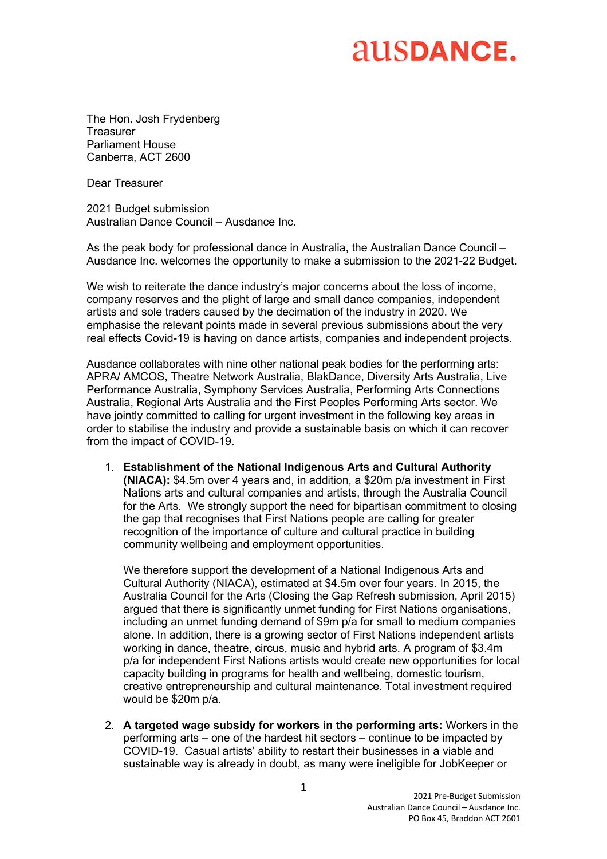### **AUSDANCE.**

The Hon. Josh Frydenberg Treasurer Parliament House Canberra, ACT 2600

Dear Treasurer

2021 Budget submission Australian Dance Council – Ausdance Inc.

As the peak body for professional dance in Australia, the Australian Dance Council – Ausdance Inc. welcomes the opportunity to make a submission to the 2021-22 Budget.

We wish to reiterate the dance industry's major concerns about the loss of income, company reserves and the plight of large and small dance companies, independent artists and sole traders caused by the decimation of the industry in 2020. We emphasise the relevant points made in several previous submissions about the very real effects Covid-19 is having on dance artists, companies and independent projects.

Ausdance collaborates with nine other national peak bodies for the performing arts: APRA/ AMCOS, Theatre Network Australia, BlakDance, Diversity Arts Australia, Live Performance Australia, Symphony Services Australia, Performing Arts Connections Australia, Regional Arts Australia and the First Peoples Performing Arts sector. We have jointly committed to calling for urgent investment in the following key areas in order to stabilise the industry and provide a sustainable basis on which it can recover from the impact of COVID-19.

1. **Establishment of the National Indigenous Arts and Cultural Authority (NIACA):** \$4.5m over 4 years and, in addition, a \$20m p/a investment in First Nations arts and cultural companies and artists, through the Australia Council for the Arts. We strongly support the need for bipartisan commitment to closing the gap that recognises that First Nations people are calling for greater recognition of the importance of culture and cultural practice in building community wellbeing and employment opportunities.

We therefore support the development of a National Indigenous Arts and Cultural Authority (NIACA), estimated at \$4.5m over four years. In 2015, the Australia Council for the Arts (Closing the Gap Refresh submission, April 2015) argued that there is significantly unmet funding for First Nations organisations, including an unmet funding demand of \$9m p/a for small to medium companies alone. In addition, there is a growing sector of First Nations independent artists working in dance, theatre, circus, music and hybrid arts. A program of \$3.4m p/a for independent First Nations artists would create new opportunities for local capacity building in programs for health and wellbeing, domestic tourism, creative entrepreneurship and cultural maintenance. Total investment required would be \$20m p/a.

2. **A targeted wage subsidy for workers in the performing arts:** Workers in the performing arts – one of the hardest hit sectors – continue to be impacted by COVID-19. Casual artists' ability to restart their businesses in a viable and sustainable way is already in doubt, as many were ineligible for JobKeeper or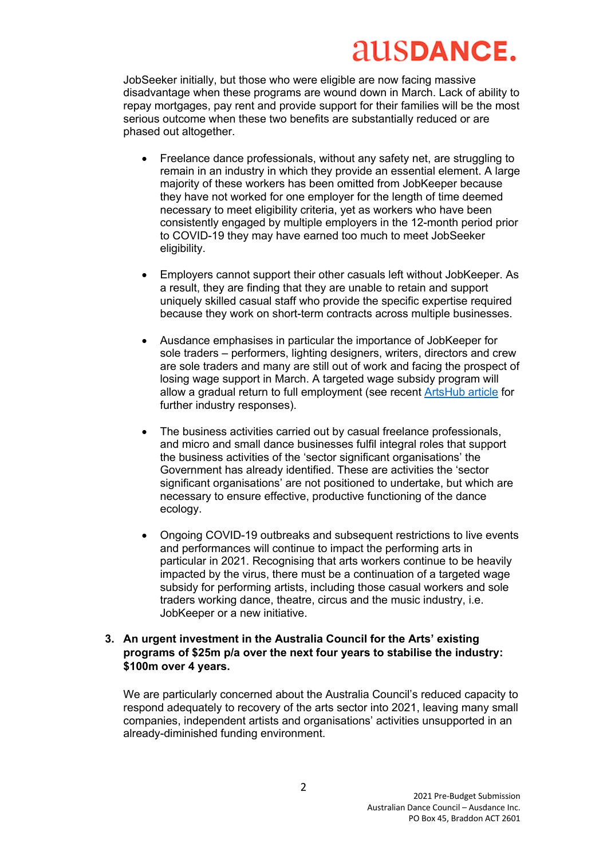# **AUSDANCE.**

JobSeeker initially, but those who were eligible are now facing massive disadvantage when these programs are wound down in March. Lack of ability to repay mortgages, pay rent and provide support for their families will be the most serious outcome when these two benefits are substantially reduced or are phased out altogether.

- Freelance dance professionals, without any safety net, are struggling to remain in an industry in which they provide an essential element. A large majority of these workers has been omitted from JobKeeper because they have not worked for one employer for the length of time deemed necessary to meet eligibility criteria, yet as workers who have been consistently engaged by multiple employers in the 12-month period prior to COVID-19 they may have earned too much to meet JobSeeker eligibility.
- Employers cannot support their other casuals left without JobKeeper. As a result, they are finding that they are unable to retain and support uniquely skilled casual staff who provide the specific expertise required because they work on short-term contracts across multiple businesses.
- Ausdance emphasises in particular the importance of JobKeeper for sole traders – performers, lighting designers, writers, directors and crew are sole traders and many are still out of work and facing the prospect of losing wage support in March. A targeted wage subsidy program will allow a gradual return to full employment (see recent ArtsHub article for further industry responses).
- The business activities carried out by casual freelance professionals, and micro and small dance businesses fulfil integral roles that support the business activities of the 'sector significant organisations' the Government has already identified. These are activities the 'sector significant organisations' are not positioned to undertake, but which are necessary to ensure effective, productive functioning of the dance ecology.
- Ongoing COVID-19 outbreaks and subsequent restrictions to live events and performances will continue to impact the performing arts in particular in 2021. Recognising that arts workers continue to be heavily impacted by the virus, there must be a continuation of a targeted wage subsidy for performing artists, including those casual workers and sole traders working dance, theatre, circus and the music industry, i.e. JobKeeper or a new initiative.

#### **3. An urgent investment in the Australia Council for the Arts' existing programs of \$25m p/a over the next four years to stabilise the industry: \$100m over 4 years.**

We are particularly concerned about the Australia Council's reduced capacity to respond adequately to recovery of the arts sector into 2021, leaving many small companies, independent artists and organisations' activities unsupported in an already-diminished funding environment.